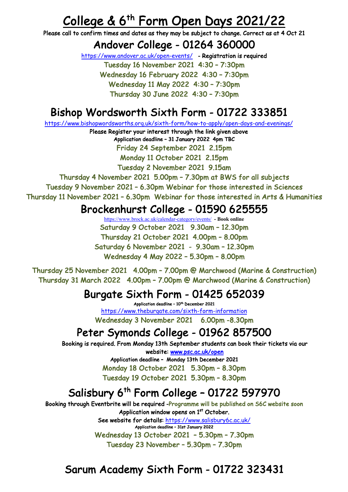# **College & 6<sup>th</sup> Form Open Days 2021/22**<br>Please call to confirm times and dates as they may be subject to change. Correct as at 4 Oct 21

## Andover College - 01264 360000<br>https://www.andover.ac.uk/open-events/ - Registration is required

Tuesday 16 November 2021 4:30 – 7:30pm Wednesday 16 February 2022 4:30 – 7:30pm Wednesday 11 May 2022 4:30 – 7:30pm Thursday 30 June 2022 4:30 – 7:30pm

# Bishop Wordsworth Sixth Form - 01722 333851 https://www.bishopwordsworths.org.uk/sixth-form/how-to-apply/open-days-and-evenings/

Please Register your interest through the link given above Application deadline – 31 January 2022 4pm TBC Friday 24 September 2021 2.15pm Monday 11 October 2021 2.15pm

Tuesday 2 November 2021 9.15am

Thursday 4 November 2021 5.00pm – 7.30pm at BWS for all subjects Tuesday 9 November 2021 – 6.30pm Webinar for those interested in Sciences Thursday 11 November 2021 – 6.30pm Webinar for those interested in Arts & Humanities

#### Brockenhurst College - 01590 625555

https://www.brock.ac.uk/calendar-category/events/ **- Book online** Saturday 9 October 2021 9.30am – 12.30pm Thursday 21 October 2021 4.00pm – 8.00pm Saturday 6 November 2021 - 9.30am – 12.30pm Wednesday 4 May 2022 – 5.30pm – 8.00pm

Thursday 25 November 2021 4.00pm – 7.00pm @ Marchwood (Marine & Construction) Thursday 31 March 2022 4.00pm – 7.00pm @ Marchwood (Marine & Construction)

### Burgate Sixth Form - 01425 652039<br>Application deadline - 10<sup>th</sup> December 2021

https://www.theburgate.com/sixth-form-information Wednesday 3 November 2021 6.00pm -8.30pm

# Peter Symonds College - 01962 857500<br>Booking is required. From Monday 13th September students can book their tickets via our

website: www.psc.ac.uk/open Application deadline – Monday 13th December 2021 Monday 18 October 2021 5.30pm – 8.30pm Tuesday 19 October 2021 5.30pm – 8.30pm

# Salisbury  $6^{th}$  Form College – 01722 597970<br>Booking through Eventbrite will be required -Programme will be published on S6C website soon

Application window opens on 1<sup>st</sup> October. See website for details: https://www.salisbury6c.ac.uk/

Application deadline – 31st January 2022 Wednesday 13 October 2021 – 5.30pm – 7.30pm Tuesday 23 November – 5.30pm – 7.30pm

#### Sarum Academy Sixth Form - 01722 323431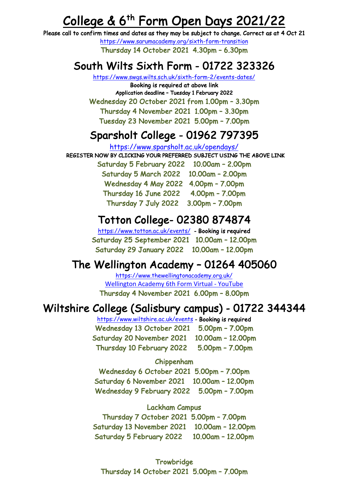# **College & 6<sup>th</sup> Form Open Days 2021/22**<br>Please call to confirm times and dates as they may be subject to change. Correct as at 4 Oct 21

https://www.sarumacademy.org/sixth-form-transition Thursday 14 October 2021 4.30pm – 6.30pm

## South Wilts Sixth Form - 01722 323326 https://www.swgs.wilts.sch.uk/sixth-form-2/events-dates/

Booking is required at above link Application deadline – Tuesday 1 February 2022 Wednesday 20 October 2021 from 1.00pm – 3.30pm Thursday 4 November 2021 1.00pm – 3.30pm Tuesday 23 November 2021 5.00pm – 7.00pm

#### Sparsholt College - 01962 797395

```
https://www.sparsholt.ac.uk/opendays/
```
REGISTER NOW BY CLICKING YOUR PREFERRED SUBJECT USING THE ABOVE LINK

Saturday 5 February 2022 10.00am – 2.00pm Saturday 5 March 2022 10.00am – 2.00pm Wednesday 4 May 2022 4.00pm – 7.00pm Thursday 16 June 2022 4.00pm – 7.00pm Thursday 7 July 2022 3.00pm – 7.00pm

Totton College- 02380 874874<br>https://www.totton.ac.uk/events/ - Booking is required<br>Saturday 25 September 2021 10.00am - 12.00pm Saturday 29 January 2022 10.00am – 12.00pm

## The Wellington Academy - 01264 405060<br>https://www.thewellingtonacademy.org.uk/

Wellington Academy 6th Form Virtual - YouTube<br>Thursday 4 November 2021 6.00pm - 8.00pm

## Wiltshire College (Salisbury campus) - 01722 344344<br>https://www.wiltshire.ac.uk/events - Booking is required

Wednesday 13 October 2021 5.00pm – 7.00pm Saturday 20 November 2021 10.00am – 12.00pm Thursday 10 February 2022 5.00pm – 7.00pm

#### Chippenham

Wednesday 6 October 2021 5.00pm – 7.00pm Saturday 6 November 2021 10.00am – 12.00pm Wednesday 9 February 2022 5.00pm – 7.00pm

Lackham Campus Thursday 7 October 2021 5.00pm – 7.00pm Saturday 13 November 2021 10.00am – 12.00pm Saturday 5 February 2022 10.00am – 12.00pm